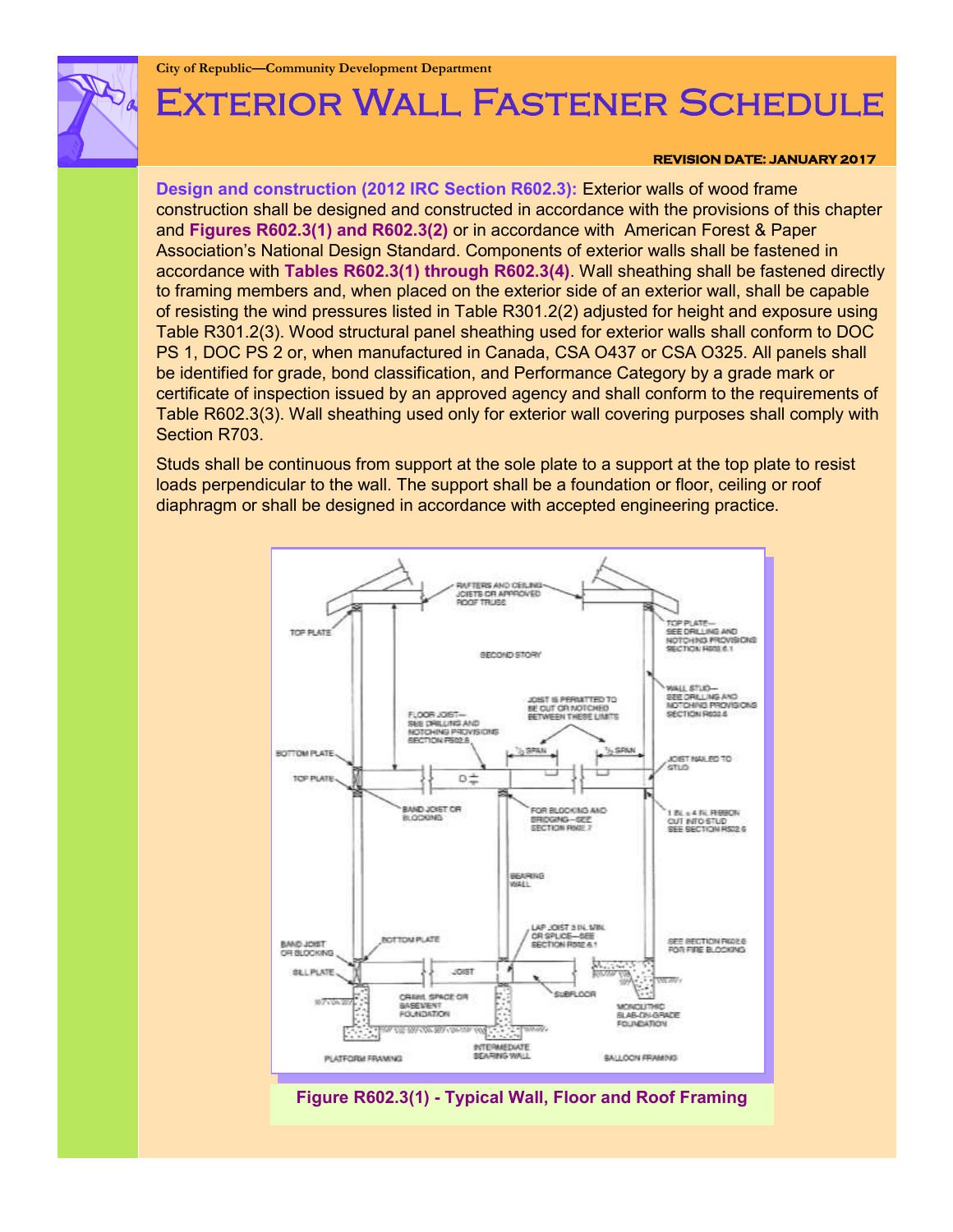**City of Republic—Community Development Department**

# Exterior Wall Fastener Schedule

#### **REVISION DATE: JANUARY 2017**

**Design and construction (2012 IRC Section R602.3):** Exterior walls of wood frame construction shall be designed and constructed in accordance with the provisions of this chapter and **Figures R602.3(1) and R602.3(2)** or in accordance with American Forest & Paper Association's National Design Standard. Components of exterior walls shall be fastened in accordance with **Tables R602.3(1) through R602.3(4)**. Wall sheathing shall be fastened directly to framing members and, when placed on the exterior side of an exterior wall, shall be capable of resisting the wind pressures listed in Table R301.2(2) adjusted for height and exposure using Table R301.2(3). Wood structural panel sheathing used for exterior walls shall conform to DOC PS 1, DOC PS 2 or, when manufactured in Canada, CSA O437 or CSA O325. All panels shall be identified for grade, bond classification, and Performance Category by a grade mark or certificate of inspection issued by an approved agency and shall conform to the requirements of Table R602.3(3). Wall sheathing used only for exterior wall covering purposes shall comply with Section R703.

Studs shall be continuous from support at the sole plate to a support at the top plate to resist loads perpendicular to the wall. The support shall be a foundation or floor, ceiling or roof diaphragm or shall be designed in accordance with accepted engineering practice.



**Figure R602.3(1) - Typical Wall, Floor and Roof Framing**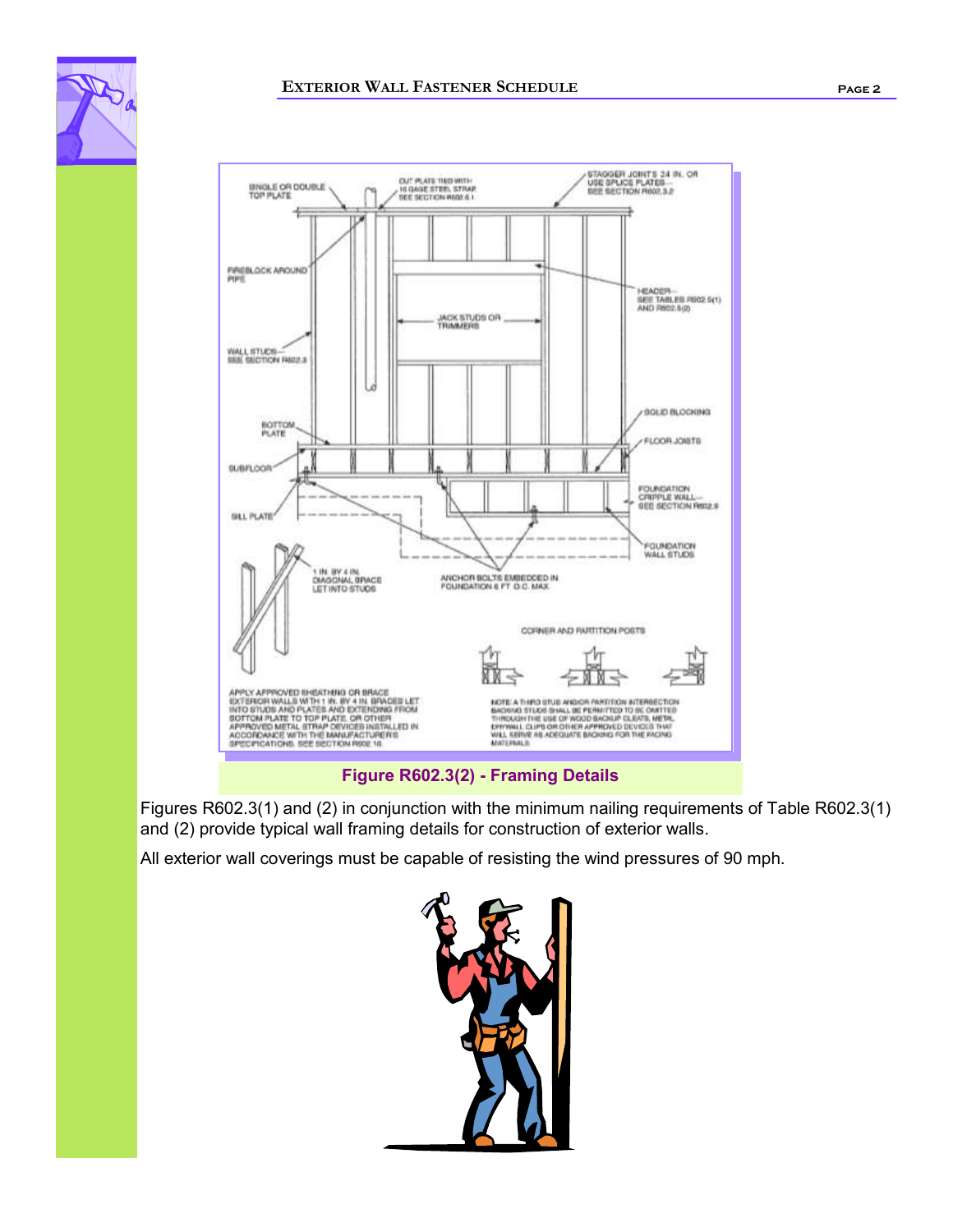



**Figure R602.3(2) - Framing Details**

Figures R602.3(1) and (2) in conjunction with the minimum nailing requirements of Table R602.3(1) and (2) provide typical wall framing details for construction of exterior walls.

All exterior wall coverings must be capable of resisting the wind pressures of 90 mph.

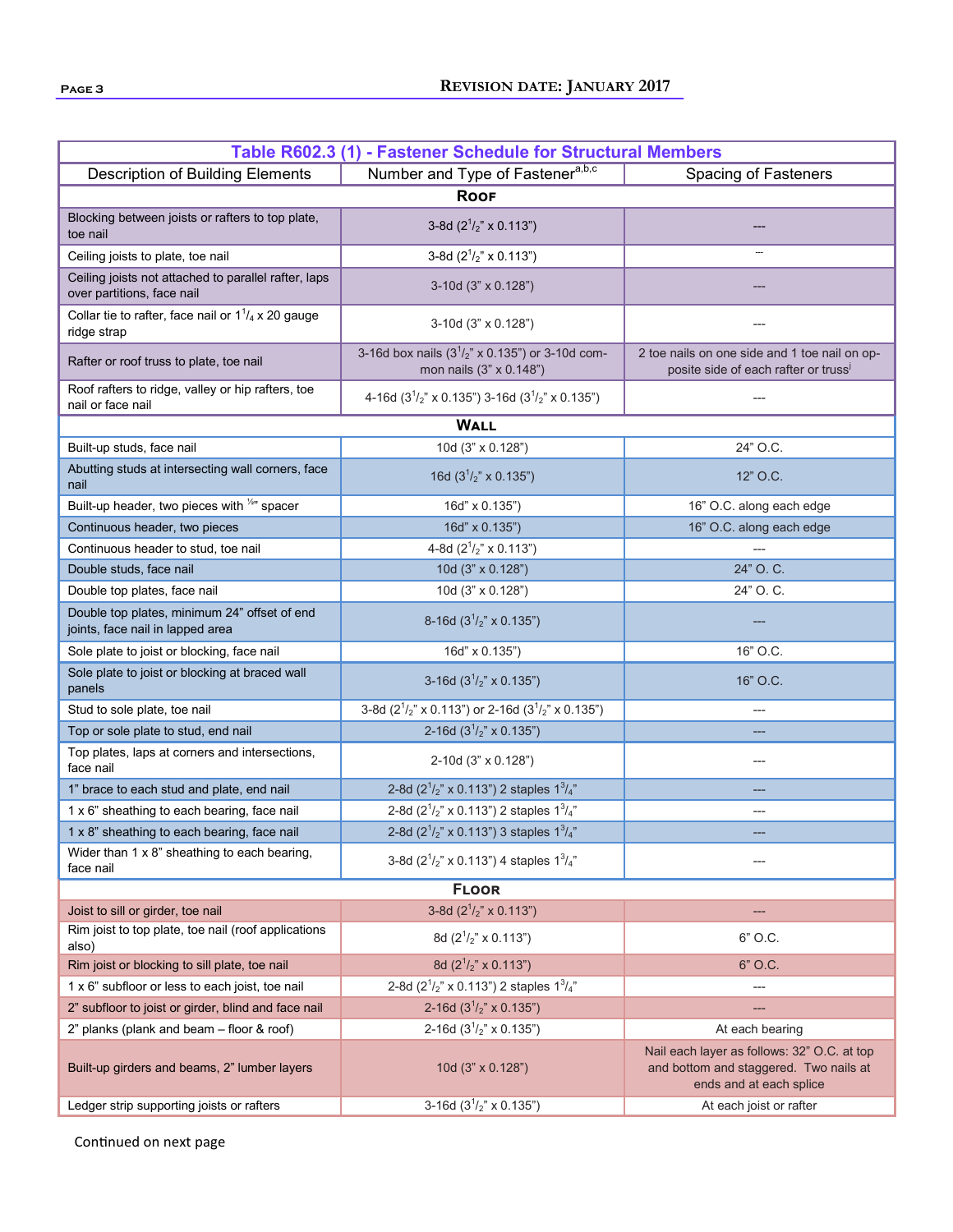| Table R602.3 (1) - Fastener Schedule for Structural Members                        |                                                                                |                                                                                                                  |  |  |  |  |  |
|------------------------------------------------------------------------------------|--------------------------------------------------------------------------------|------------------------------------------------------------------------------------------------------------------|--|--|--|--|--|
| <b>Description of Building Elements</b>                                            | Number and Type of Fastener <sup>a,b,c</sup>                                   | Spacing of Fasteners                                                                                             |  |  |  |  |  |
| <b>ROOF</b>                                                                        |                                                                                |                                                                                                                  |  |  |  |  |  |
| Blocking between joists or rafters to top plate,<br>toe nail                       | 3-8d $(2^1/2)$ x 0.113")                                                       |                                                                                                                  |  |  |  |  |  |
| Ceiling joists to plate, toe nail                                                  | 3-8d $(2^1/z'' \times 0.113'')$                                                |                                                                                                                  |  |  |  |  |  |
| Ceiling joists not attached to parallel rafter, laps<br>over partitions, face nail | 3-10d (3" x 0.128")                                                            |                                                                                                                  |  |  |  |  |  |
| Collar tie to rafter, face nail or $1^{1}/_{4}$ x 20 gauge<br>ridge strap          | 3-10d (3" x 0.128")                                                            |                                                                                                                  |  |  |  |  |  |
| Rafter or roof truss to plate, toe nail                                            | 3-16d box nails $(3^{1}/2)$ x 0.135") or 3-10d com-<br>mon nails (3" x 0.148") | 2 toe nails on one side and 1 toe nail on op-<br>posite side of each rafter or truss <sup>i</sup>                |  |  |  |  |  |
| Roof rafters to ridge, valley or hip rafters, toe<br>nail or face nail             | 4-16d $(31/2 x 0.135")$ 3-16d $(31/2 x 0.135")$                                |                                                                                                                  |  |  |  |  |  |
|                                                                                    | <b>WALL</b>                                                                    |                                                                                                                  |  |  |  |  |  |
| Built-up studs, face nail                                                          | 10d (3" x 0.128")                                                              | 24" O.C.                                                                                                         |  |  |  |  |  |
| Abutting studs at intersecting wall corners, face<br>nail                          | 16d $(31/2 x 0.135n)$                                                          | 12" O.C.                                                                                                         |  |  |  |  |  |
| Built-up header, two pieces with <sup>1/2</sup> " spacer                           | 16d" x 0.135")                                                                 | 16" O.C. along each edge                                                                                         |  |  |  |  |  |
| Continuous header, two pieces                                                      | 16d" x 0.135")                                                                 | 16" O.C. along each edge                                                                                         |  |  |  |  |  |
| Continuous header to stud, toe nail                                                | 4-8d $(2^1/z'' \times 0.113'')$                                                |                                                                                                                  |  |  |  |  |  |
| Double studs, face nail                                                            | 10d (3" x 0.128")                                                              | 24" O. C.                                                                                                        |  |  |  |  |  |
| Double top plates, face nail                                                       | 10d (3" x 0.128")                                                              | 24" O. C.                                                                                                        |  |  |  |  |  |
| Double top plates, minimum 24" offset of end<br>joints, face nail in lapped area   | 8-16d $(31/2 x 0.135n)$                                                        |                                                                                                                  |  |  |  |  |  |
| Sole plate to joist or blocking, face nail                                         | 16d" x 0.135")                                                                 | 16" O.C.                                                                                                         |  |  |  |  |  |
| Sole plate to joist or blocking at braced wall<br>panels                           | 3-16d $(31/2 x 0.135n)$                                                        | 16" O.C.                                                                                                         |  |  |  |  |  |
| Stud to sole plate, toe nail                                                       | 3-8d ( $2^{1/2}$ " x 0.113") or 2-16d ( $3^{1/2}$ " x 0.135")                  | ---                                                                                                              |  |  |  |  |  |
| Top or sole plate to stud, end nail                                                | 2-16d $(31/2 x 0.135n)$                                                        |                                                                                                                  |  |  |  |  |  |
| Top plates, laps at corners and intersections,<br>face nail                        | 2-10d (3" x 0.128")                                                            |                                                                                                                  |  |  |  |  |  |
| 1" brace to each stud and plate, end nail                                          | 2-8d $(2^1/z'' \times 0.113'')$ 2 staples $1^3/z''$                            |                                                                                                                  |  |  |  |  |  |
| 1 x 6" sheathing to each bearing, face nail                                        | 2-8d $(2^1/z'' \times 0.113'')$ 2 staples $1^3/z''$                            | ---                                                                                                              |  |  |  |  |  |
| 1 x 8" sheathing to each bearing, face nail                                        | 2-8d $(2^1/z'' \times 0.113'')$ 3 staples $1^3/z''$                            |                                                                                                                  |  |  |  |  |  |
| Wider than 1 x 8" sheathing to each bearing,<br>face nail                          | 3-8d $(2^1/z'' \times 0.113'')$ 4 staples $1^3/z''$                            |                                                                                                                  |  |  |  |  |  |
| <b>FLOOR</b>                                                                       |                                                                                |                                                                                                                  |  |  |  |  |  |
| Joist to sill or girder, toe nail                                                  | 3-8d $(2^1/z'' \times 0.113'')$                                                | ---                                                                                                              |  |  |  |  |  |
| Rim joist to top plate, toe nail (roof applications<br>also)                       | 8d $(2^1/z'' \times 0.113'')$                                                  | 6" O.C.                                                                                                          |  |  |  |  |  |
| Rim joist or blocking to sill plate, toe nail                                      | 8d $(2^1/z'' \times 0.113'')$                                                  | 6" O.C.                                                                                                          |  |  |  |  |  |
| 1 x 6" subfloor or less to each joist, toe nail                                    | 2-8d $(2^1/z'' \times 0.113'')$ 2 staples $1^3/z''$                            |                                                                                                                  |  |  |  |  |  |
| 2" subfloor to joist or girder, blind and face nail                                | 2-16d $(31/2" x 0.135")$                                                       |                                                                                                                  |  |  |  |  |  |
| 2" planks (plank and beam - floor & roof)                                          | 2-16d $(31/2" x 0.135")$                                                       | At each bearing                                                                                                  |  |  |  |  |  |
| Built-up girders and beams, 2" lumber layers                                       | 10d (3" x 0.128")                                                              | Nail each layer as follows: 32" O.C. at top<br>and bottom and staggered. Two nails at<br>ends and at each splice |  |  |  |  |  |
| Ledger strip supporting joists or rafters                                          | 3-16d $(31/2" x 0.135")$                                                       | At each joist or rafter                                                                                          |  |  |  |  |  |

Continued on next page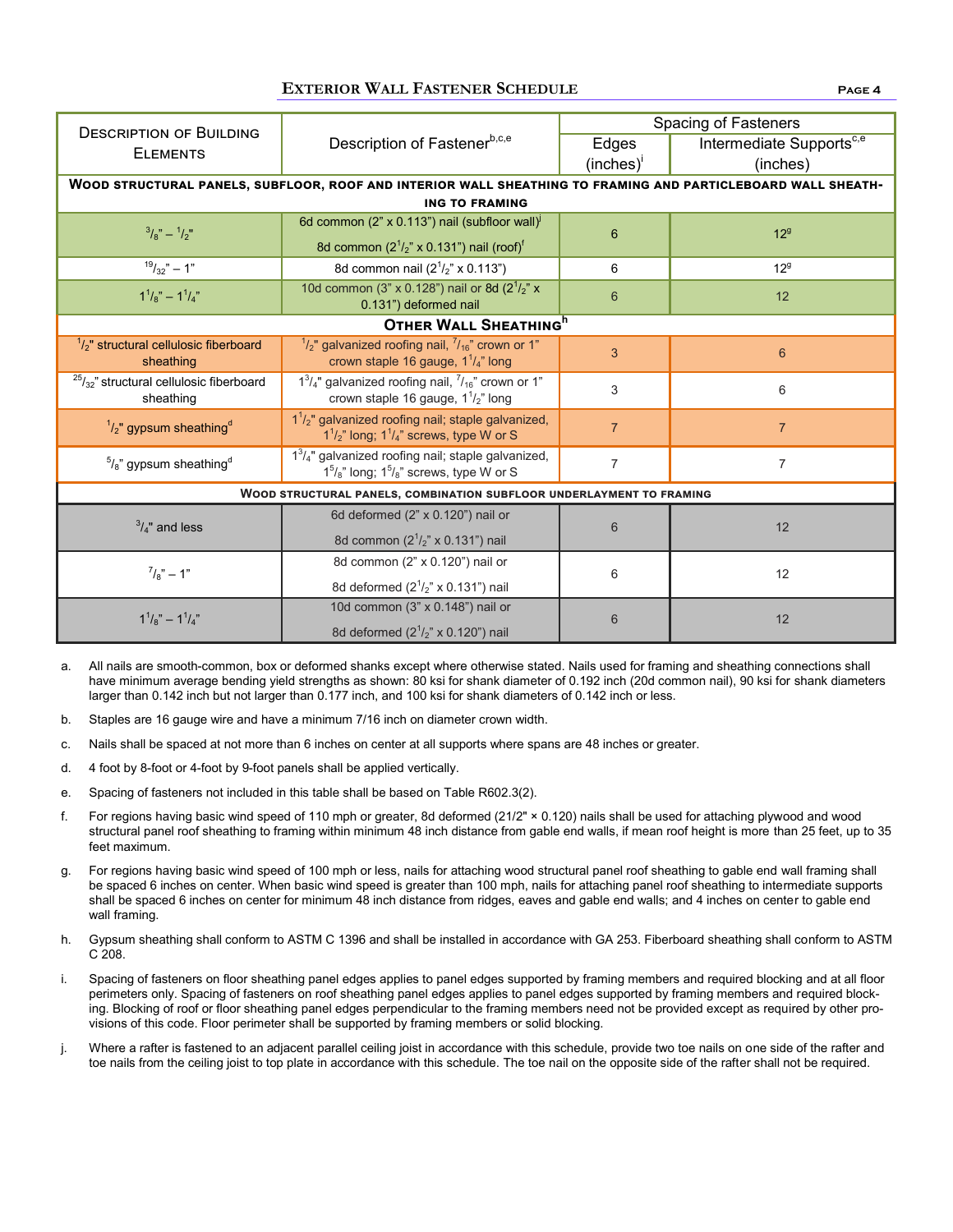### **EXTERIOR WALL FASTENER SCHEDULE Page 4**

|                                                                      |                                                                                                                     | Spacing of Fasteners |                                      |  |  |  |
|----------------------------------------------------------------------|---------------------------------------------------------------------------------------------------------------------|----------------------|--------------------------------------|--|--|--|
| <b>DESCRIPTION OF BUILDING</b><br><b>ELEMENTS</b>                    | Description of Fastenerb,c,e                                                                                        | Edges                | Intermediate Supports <sup>c,e</sup> |  |  |  |
|                                                                      |                                                                                                                     | $(inches)^{1}$       | (inches)                             |  |  |  |
|                                                                      | WOOD STRUCTURAL PANELS, SUBFLOOR, ROOF AND INTERIOR WALL SHEATHING TO FRAMING AND PARTICLEBOARD WALL SHEATH-        |                      |                                      |  |  |  |
| <b>ING TO FRAMING</b>                                                |                                                                                                                     |                      |                                      |  |  |  |
| $^{3}/_{8}$ " – $^{1}/_{2}$ "                                        | 6d common (2" x 0.113") nail (subfloor wall) <sup>j</sup>                                                           | 6                    | 12 <sup>9</sup>                      |  |  |  |
|                                                                      | 8d common $(2^{1}/2)$ x 0.131") nail (roof) <sup>f</sup>                                                            |                      |                                      |  |  |  |
| $19/32" - 1"$                                                        | 8d common nail $(2^1/z'' \times 0.113'')$                                                                           | 6                    | 12 <sup>9</sup>                      |  |  |  |
| $1^{1}/_{8}$ " - $1^{1}/_{4}$ "                                      | 10d common (3" x 0.128") nail or 8d ( $2^{1}/2$ " x<br>0.131") deformed nail                                        | 6                    | 12                                   |  |  |  |
|                                                                      | OTHER WALL SHEATHING <sup>h</sup>                                                                                   |                      |                                      |  |  |  |
| $\frac{1}{2}$ " structural cellulosic fiberboard<br>sheathing        | $1/2$ " galvanized roofing nail, $7/16$ " crown or 1"<br>crown staple 16 gauge, $1\frac{1}{4}$ " long               | 3                    | $6\phantom{1}6$                      |  |  |  |
| $25/32$ " structural cellulosic fiberboard<br>sheathing              | $1^3/4$ " galvanized roofing nail, $7/16$ " crown or 1"<br>crown staple 16 gauge, $1\frac{1}{2}$ " long             | 3                    | 6                                    |  |  |  |
| $1/2$ " gypsum sheathing <sup>d</sup>                                | $11/2$ " galvanized roofing nail; staple galvanized,<br>$1^{1}/_{2}$ " long; $1^{1}/_{4}$ " screws, type W or S     | $\overline{7}$       | $\overline{7}$                       |  |  |  |
| $\frac{5}{8}$ " gypsum sheathing <sup>d</sup>                        | $13/4$ " galvanized roofing nail; staple galvanized,<br>$1^5\frac{1}{8}$ long; $1^5\frac{1}{8}$ screws, type W or S | $\overline{7}$       | $\overline{7}$                       |  |  |  |
| WOOD STRUCTURAL PANELS, COMBINATION SUBFLOOR UNDERLAYMENT TO FRAMING |                                                                                                                     |                      |                                      |  |  |  |
| $\frac{3}{4}$ " and less                                             | 6d deformed (2" x 0.120") nail or                                                                                   |                      |                                      |  |  |  |
|                                                                      | 8d common (2 <sup>1</sup> / <sub>2</sub> " x 0.131") nail                                                           | 6                    | 12                                   |  |  |  |
| $^{7}/_{8}$ " – 1"                                                   | 8d common (2" x 0.120") nail or                                                                                     |                      | 12                                   |  |  |  |
|                                                                      | 8d deformed $(2^{1}/2)$ " x 0.131") nail                                                                            | 6                    |                                      |  |  |  |
| $1^{1}/_{8}$ " - $1^{1}/_{4}$ "                                      | 10d common (3" x 0.148") nail or                                                                                    |                      | 12                                   |  |  |  |
|                                                                      | 8d deformed $(2^{1}/2)$ " x 0.120") nail                                                                            | 6                    |                                      |  |  |  |

- a. All nails are smooth-common, box or deformed shanks except where otherwise stated. Nails used for framing and sheathing connections shall have minimum average bending yield strengths as shown: 80 ksi for shank diameter of 0.192 inch (20d common nail), 90 ksi for shank diameters larger than 0.142 inch but not larger than 0.177 inch, and 100 ksi for shank diameters of 0.142 inch or less.
- b. Staples are 16 gauge wire and have a minimum 7/16 inch on diameter crown width.
- c. Nails shall be spaced at not more than 6 inches on center at all supports where spans are 48 inches or greater.
- d. 4 foot by 8-foot or 4-foot by 9-foot panels shall be applied vertically.
- e. Spacing of fasteners not included in this table shall be based on Table R602.3(2).
- f. For regions having basic wind speed of 110 mph or greater, 8d deformed (21/2" × 0.120) nails shall be used for attaching plywood and wood structural panel roof sheathing to framing within minimum 48 inch distance from gable end walls, if mean roof height is more than 25 feet, up to 35 feet maximum.
- g. For regions having basic wind speed of 100 mph or less, nails for attaching wood structural panel roof sheathing to gable end wall framing shall be spaced 6 inches on center. When basic wind speed is greater than 100 mph, nails for attaching panel roof sheathing to intermediate supports shall be spaced 6 inches on center for minimum 48 inch distance from ridges, eaves and gable end walls; and 4 inches on center to gable end wall framing.
- h. Gypsum sheathing shall conform to ASTM C 1396 and shall be installed in accordance with GA 253. Fiberboard sheathing shall conform to ASTM C 208.
- i. Spacing of fasteners on floor sheathing panel edges applies to panel edges supported by framing members and required blocking and at all floor perimeters only. Spacing of fasteners on roof sheathing panel edges applies to panel edges supported by framing members and required blocking. Blocking of roof or floor sheathing panel edges perpendicular to the framing members need not be provided except as required by other provisions of this code. Floor perimeter shall be supported by framing members or solid blocking.
- j. Where a rafter is fastened to an adjacent parallel ceiling joist in accordance with this schedule, provide two toe nails on one side of the rafter and toe nails from the ceiling joist to top plate in accordance with this schedule. The toe nail on the opposite side of the rafter shall not be required.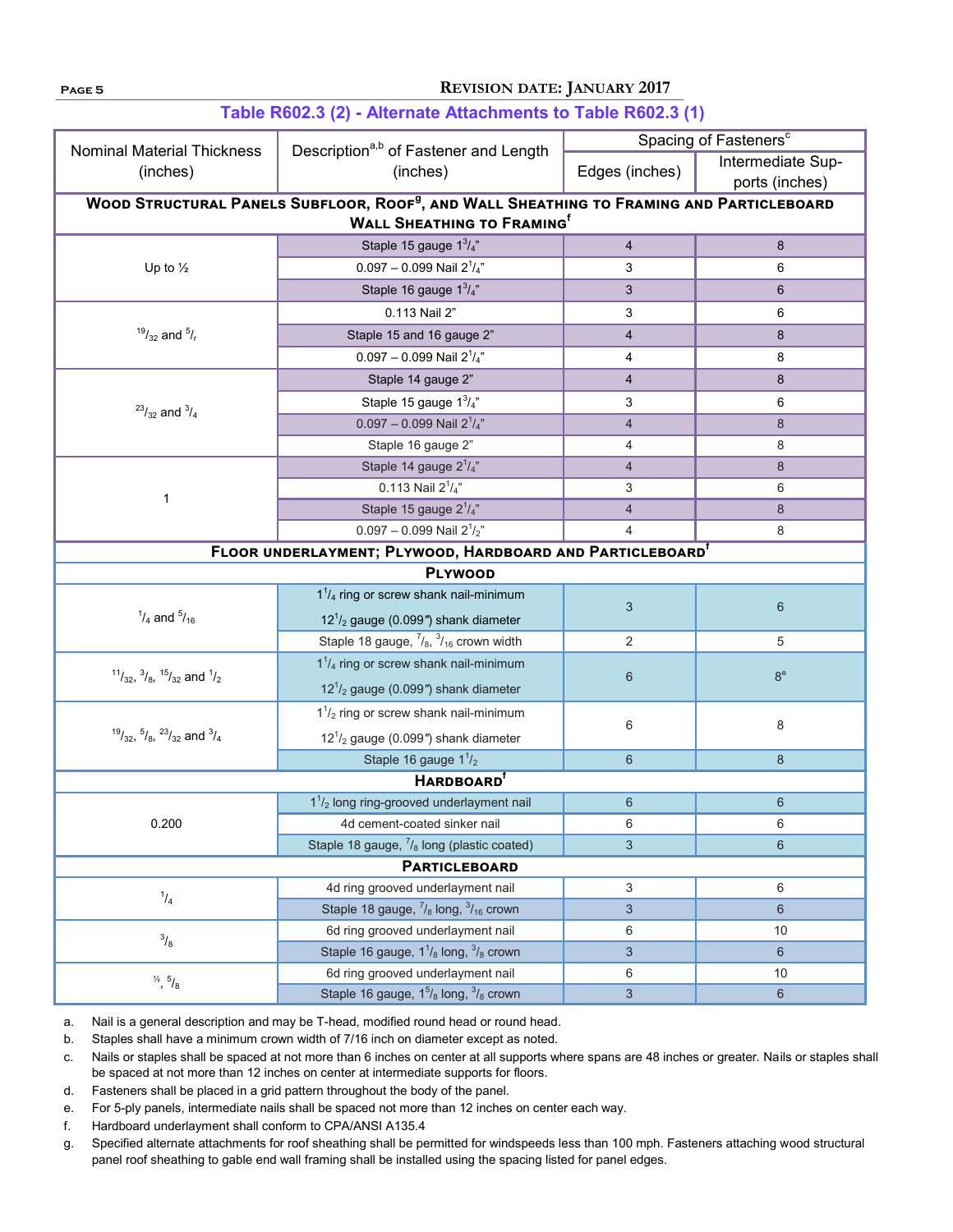# **Page 5 REVISION DATE: JANUARY 2017**

|                                                                                                      |                                                                                        | Spacing of Fasteners <sup>c</sup> |                   |  |  |  |  |
|------------------------------------------------------------------------------------------------------|----------------------------------------------------------------------------------------|-----------------------------------|-------------------|--|--|--|--|
| <b>Nominal Material Thickness</b>                                                                    | Description <sup>a,b</sup> of Fastener and Length                                      |                                   | Intermediate Sup- |  |  |  |  |
| (inches)                                                                                             | (inches)                                                                               | Edges (inches)                    | ports (inches)    |  |  |  |  |
| WOOD STRUCTURAL PANELS SUBFLOOR, ROOF <sup>9</sup> , AND WALL SHEATHING TO FRAMING AND PARTICLEBOARD |                                                                                        |                                   |                   |  |  |  |  |
|                                                                                                      | <b>WALL SHEATHING TO FRAMING</b> <sup>f</sup>                                          |                                   |                   |  |  |  |  |
|                                                                                                      | Staple 15 gauge $1^3/4$ "                                                              | $\overline{\mathbf{4}}$           | 8                 |  |  |  |  |
| Up to $\frac{1}{2}$                                                                                  | $0.097 - 0.099$ Nail $2^{1}/_{4}$ "                                                    | 3                                 | 6                 |  |  |  |  |
|                                                                                                      | Staple 16 gauge $1^3/4$ "                                                              | 3                                 |                   |  |  |  |  |
|                                                                                                      | 0.113 Nail 2"                                                                          | 3                                 | 6                 |  |  |  |  |
| $^{19}/_{32}$ and $^{5}/_{r}$                                                                        | Staple 15 and 16 gauge 2"                                                              | $\overline{4}$                    | 8                 |  |  |  |  |
|                                                                                                      | $0.097 - 0.099$ Nail $2^{1}/_{4}$ "                                                    | 4                                 | 8                 |  |  |  |  |
|                                                                                                      | Staple 14 gauge 2"                                                                     | 4                                 | 8                 |  |  |  |  |
|                                                                                                      | Staple 15 gauge $1^3/\frac{1}{4}$                                                      | 3                                 | 6                 |  |  |  |  |
| $^{23}/_{32}$ and $^{3}/_{4}$                                                                        | $0.097 - 0.099$ Nail $2^{1}/_{4}$ "<br>4                                               |                                   | 8                 |  |  |  |  |
|                                                                                                      | Staple 16 gauge 2"                                                                     | 4                                 | 8                 |  |  |  |  |
|                                                                                                      | Staple 14 gauge $2^1/4$ "                                                              | $\overline{4}$                    | 8                 |  |  |  |  |
| 1                                                                                                    | 0.113 Nail $2^{1}/_{4}$ "                                                              | 3                                 | 6                 |  |  |  |  |
|                                                                                                      | Staple 15 gauge 2 <sup>1</sup> /4"                                                     | $\overline{4}$                    | 8                 |  |  |  |  |
|                                                                                                      | $0.097 - 0.099$ Nail $2^{1}/2$ "                                                       | 4                                 | 8                 |  |  |  |  |
|                                                                                                      | FLOOR UNDERLAYMENT; PLYWOOD, HARDBOARD AND PARTICLEBOARD <sup>1</sup>                  |                                   |                   |  |  |  |  |
|                                                                                                      | <b>PLYWOOD</b>                                                                         |                                   |                   |  |  |  |  |
|                                                                                                      | $1^{1}/_{4}$ ring or screw shank nail-minimum                                          | 3                                 | $6\,$             |  |  |  |  |
| $^{1}/_{4}$ and $^{5}/_{16}$                                                                         | $121/2$ gauge (0.099") shank diameter                                                  |                                   |                   |  |  |  |  |
|                                                                                                      | Staple 18 gauge, $\frac{7}{8}$ , $\frac{3}{16}$ crown width                            | 2                                 | 5                 |  |  |  |  |
|                                                                                                      | $1^{1}/_{4}$ ring or screw shank nail-minimum                                          |                                   | 8 <sup>e</sup>    |  |  |  |  |
| $11/32$ , $3/8$ , $15/32$ and $1/2$                                                                  | $121 / 2$ gauge (0.099") shank diameter                                                | $6\phantom{1}$                    |                   |  |  |  |  |
|                                                                                                      | $11/2$ ring or screw shank nail-minimum                                                |                                   |                   |  |  |  |  |
| $^{19}$ / <sub>32</sub> , $^{5}$ / <sub>8</sub> , $^{23}$ / <sub>32</sub> and $^{3}$ / <sub>4</sub>  | $121/2$ gauge (0.099") shank diameter                                                  | 6                                 | 8                 |  |  |  |  |
|                                                                                                      | Staple 16 gauge $1\frac{1}{2}$                                                         | $6\phantom{1}$                    | 8                 |  |  |  |  |
| <b>HARDBOARD</b> <sup>f</sup>                                                                        |                                                                                        |                                   |                   |  |  |  |  |
| 0.200                                                                                                | $11/2$ long ring-grooved underlayment nail                                             | $6\phantom{1}$                    | $6\phantom{1}$    |  |  |  |  |
|                                                                                                      | 4d cement-coated sinker nail                                                           | 6                                 | 6                 |  |  |  |  |
|                                                                                                      | Staple 18 gauge, $\frac{7}{8}$ long (plastic coated)                                   | 3                                 | $6\phantom{1}$    |  |  |  |  |
| <b>PARTICLEBOARD</b>                                                                                 |                                                                                        |                                   |                   |  |  |  |  |
| $^{1}/_{4}$                                                                                          | 4d ring grooved underlayment nail                                                      | 3                                 | 6                 |  |  |  |  |
|                                                                                                      | Staple 18 gauge, $\frac{7}{8}$ long, $\frac{3}{16}$ crown                              | $\mathfrak{S}$                    | $6\phantom{1}$    |  |  |  |  |
| $^{3}/_{8}$                                                                                          | 6d ring grooved underlayment nail                                                      | 6                                 | 10                |  |  |  |  |
|                                                                                                      | Staple 16 gauge, 1 <sup>1</sup> / <sub>8</sub> long, <sup>3</sup> / <sub>8</sub> crown | 3                                 | $6\phantom{1}$    |  |  |  |  |
| $\frac{1}{2}$ , $\frac{5}{8}$                                                                        | 6d ring grooved underlayment nail                                                      | 6                                 | 10                |  |  |  |  |
|                                                                                                      | Staple 16 gauge, 1 <sup>5</sup> / <sub>8</sub> long, <sup>3</sup> / <sub>8</sub> crown | $\sqrt{3}$                        | $6\,$             |  |  |  |  |

# **Table R602.3 (2) - Alternate Attachments to Table R602.3 (1)**

a. Nail is a general description and may be T-head, modified round head or round head.

b. Staples shall have a minimum crown width of 7/16 inch on diameter except as noted.

c. Nails or staples shall be spaced at not more than 6 inches on center at all supports where spans are 48 inches or greater. Nails or staples shall be spaced at not more than 12 inches on center at intermediate supports for floors.

d. Fasteners shall be placed in a grid pattern throughout the body of the panel.

- e. For 5-ply panels, intermediate nails shall be spaced not more than 12 inches on center each way.
- f. Hardboard underlayment shall conform to CPA/ANSI A135.4

g. Specified alternate attachments for roof sheathing shall be permitted for windspeeds less than 100 mph. Fasteners attaching wood structural panel roof sheathing to gable end wall framing shall be installed using the spacing listed for panel edges.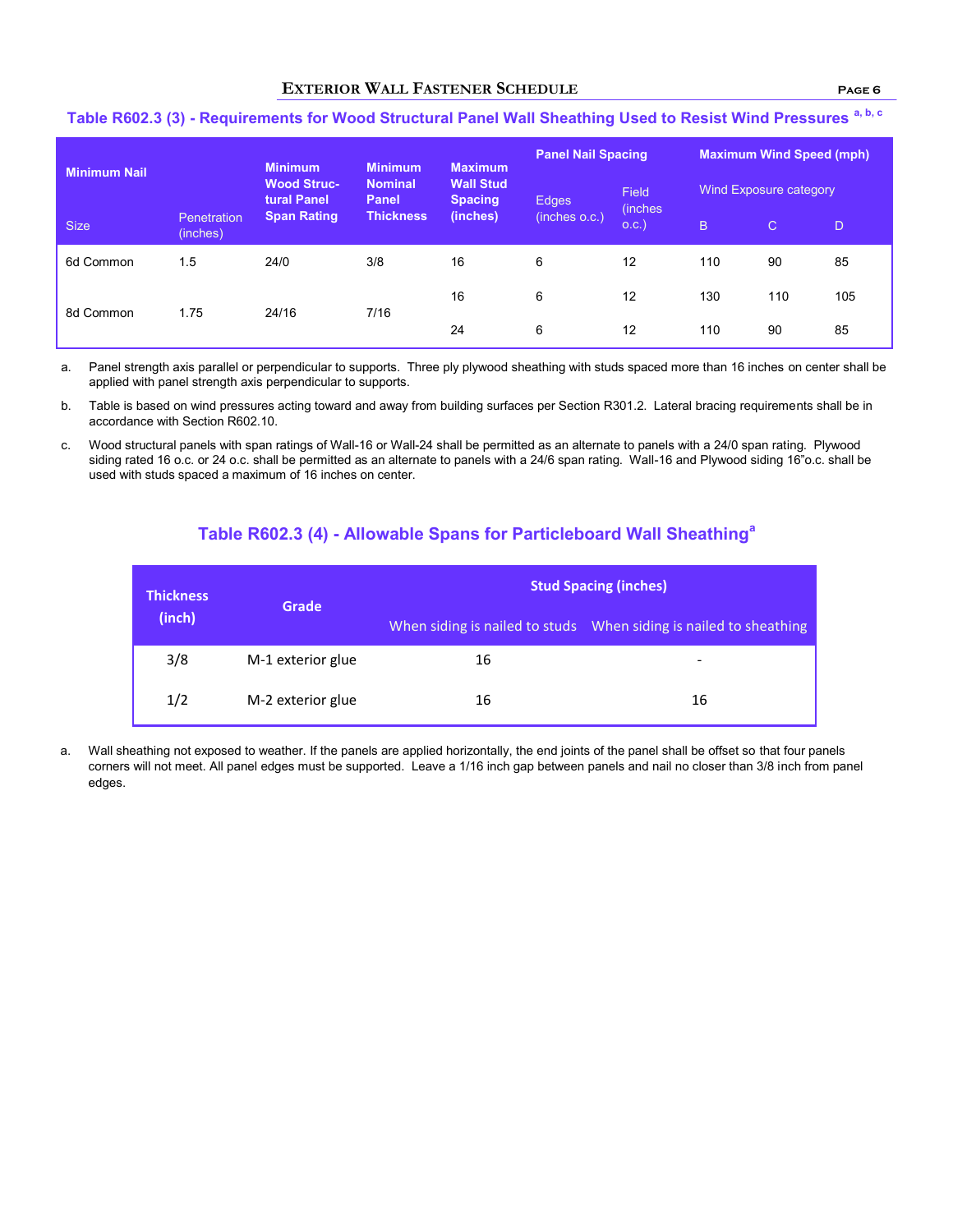### **EXTERIOR WALL FASTENER SCHEDULE Page 6**

| <b>Minimum Nail</b> |                         | <b>Minimum</b>                    | <b>Minimum</b>          | <b>Maximum</b>                     | <b>Panel Nail Spacing</b> |                         | <b>Maximum Wind Speed (mph)</b> |              |     |
|---------------------|-------------------------|-----------------------------------|-------------------------|------------------------------------|---------------------------|-------------------------|---------------------------------|--------------|-----|
|                     |                         | <b>Wood Struc-</b><br>tural Panel | <b>Nominal</b><br>Panel | <b>Wall Stud</b><br><b>Spacing</b> | Edges                     | Field                   | Wind Exposure category          |              |     |
| Size                | Penetration<br>(inches) | <b>Span Rating</b>                | <b>Thickness</b>        | (inches)                           | (inches o.c.)             | <i>(inches)</i><br>O.C. | B.                              | $\mathsf{C}$ | D.  |
| 6d Common           | 1.5                     | 24/0                              | 3/8                     | 16                                 | 6                         | 12                      | 110                             | 90           | 85  |
|                     |                         |                                   |                         | 16                                 | 6                         | 12                      | 130                             | 110          | 105 |
| 8d Common           | 1.75                    | 24/16                             | 7/16                    | 24                                 | 6                         | 12                      | 110                             | 90           | 85  |

# **Table R602.3 (3) - Requirements for Wood Structural Panel Wall Sheathing Used to Resist Wind Pressures a, b, c**

a. Panel strength axis parallel or perpendicular to supports. Three ply plywood sheathing with studs spaced more than 16 inches on center shall be applied with panel strength axis perpendicular to supports.

b. Table is based on wind pressures acting toward and away from building surfaces per Section R301.2. Lateral bracing requirements shall be in accordance with Section R602.10.

c. Wood structural panels with span ratings of Wall-16 or Wall-24 shall be permitted as an alternate to panels with a 24/0 span rating. Plywood siding rated 16 o.c. or 24 o.c. shall be permitted as an alternate to panels with a 24/6 span rating. Wall-16 and Plywood siding 16"o.c. shall be used with studs spaced a maximum of 16 inches on center.

# **Table R602.3 (4) - Allowable Spans for Particleboard Wall Sheathing<sup>a</sup>**

| <b>Thickness</b><br>(inch) | Grade             | <b>Stud Spacing (inches)</b> |                                                                   |  |  |  |
|----------------------------|-------------------|------------------------------|-------------------------------------------------------------------|--|--|--|
|                            |                   |                              | When siding is nailed to studs When siding is nailed to sheathing |  |  |  |
| 3/8                        | M-1 exterior glue | 16                           | -                                                                 |  |  |  |
| 1/2                        | M-2 exterior glue | 16                           | 16                                                                |  |  |  |

a. Wall sheathing not exposed to weather. If the panels are applied horizontally, the end joints of the panel shall be offset so that four panels corners will not meet. All panel edges must be supported. Leave a 1/16 inch gap between panels and nail no closer than 3/8 inch from panel edges.